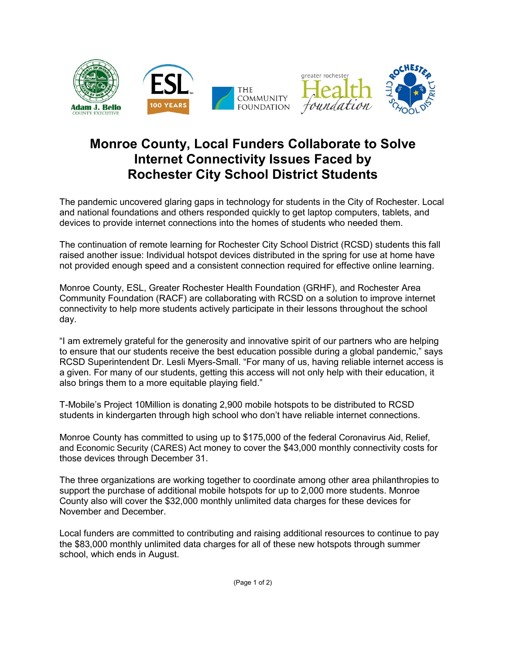

## **Monroe County, Local Funders Collaborate to Solve Internet Connectivity Issues Faced by Rochester City School District Students**

The pandemic uncovered glaring gaps in technology for students in the City of Rochester. Local and national foundations and others responded quickly to get laptop computers, tablets, and devices to provide internet connections into the homes of students who needed them.

The continuation of remote learning for Rochester City School District (RCSD) students this fall raised another issue: Individual hotspot devices distributed in the spring for use at home have not provided enough speed and a consistent connection required for effective online learning.

Monroe County, ESL, Greater Rochester Health Foundation (GRHF), and Rochester Area Community Foundation (RACF) are collaborating with RCSD on a solution to improve internet connectivity to help more students actively participate in their lessons throughout the school day.

"I am extremely grateful for the generosity and innovative spirit of our partners who are helping to ensure that our students receive the best education possible during a global pandemic," says RCSD Superintendent Dr. Lesli Myers-Small. "For many of us, having reliable internet access is a given. For many of our students, getting this access will not only help with their education, it also brings them to a more equitable playing field."

T-Mobile's Project 10Million is donating 2,900 mobile hotspots to be distributed to RCSD students in kindergarten through high school who don't have reliable internet connections.

Monroe County has committed to using up to \$175,000 of the federal Coronavirus Aid, Relief, and Economic Security (CARES) Act money to cover the \$43,000 monthly connectivity costs for those devices through December 31.

The three organizations are working together to coordinate among other area philanthropies to support the purchase of additional mobile hotspots for up to 2,000 more students. Monroe County also will cover the \$32,000 monthly unlimited data charges for these devices for November and December.

Local funders are committed to contributing and raising additional resources to continue to pay the \$83,000 monthly unlimited data charges for all of these new hotspots through summer school, which ends in August.